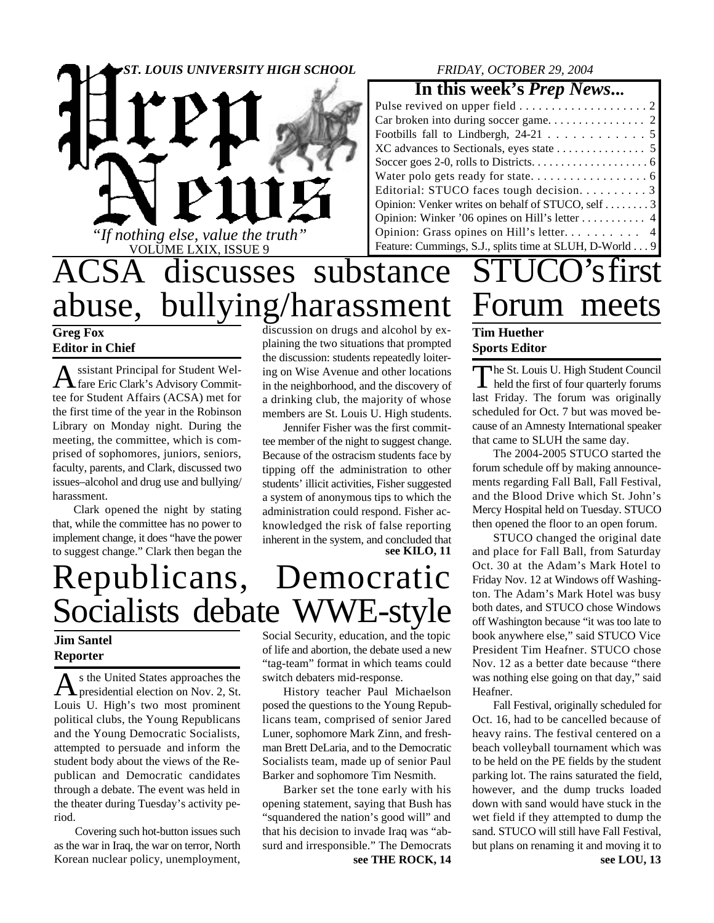



#### *FRIDAY, OCTOBER 29, 2004*

#### **In this week's** *Prep News***...**

| Pulse revived on upper field $\ldots \ldots \ldots \ldots \ldots \ldots 2$ |
|----------------------------------------------------------------------------|
|                                                                            |
|                                                                            |
|                                                                            |
|                                                                            |
|                                                                            |
| Editorial: STUCO faces tough decision. 3                                   |
| Opinion: Venker writes on behalf of STUCO, self 3                          |
|                                                                            |
|                                                                            |
| Feature: Cummings, S.J., splits time at SLUH, D-World 9                    |
|                                                                            |

### ACSA discusses substance abuse, bullying/harassment **Greg Fox** discussion on drugs and alcohol by ex-

**Editor in Chief**

A ssistant Principal for Student Wel-<br>fare Eric Clark's Advisory Commitssistant Principal for Student Weltee for Student Affairs (ACSA) met for the first time of the year in the Robinson Library on Monday night. During the meeting, the committee, which is comprised of sophomores, juniors, seniors, faculty, parents, and Clark, discussed two issues–alcohol and drug use and bullying/ harassment.

Clark opened the night by stating that, while the committee has no power to implement change, it does "have the power to suggest change." Clark then began the plaining the two situations that prompted the discussion: students repeatedly loitering on Wise Avenue and other locations in the neighborhood, and the discovery of a drinking club, the majority of whose members are St. Louis U. High students.

Jennifer Fisher was the first committee member of the night to suggest change. Because of the ostracism students face by tipping off the administration to other students' illicit activities, Fisher suggested a system of anonymous tips to which the administration could respond. Fisher acknowledged the risk of false reporting inherent in the system, and concluded that **see KILO, 11**

# Republicans, Democratic Socialists debate WWE-style

#### **Jim Santel Reporter**

As the United States approaches the<br>presidential election on Nov. 2, St. s the United States approaches the Louis U. High's two most prominent political clubs, the Young Republicans and the Young Democratic Socialists, attempted to persuade and inform the student body about the views of the Republican and Democratic candidates through a debate. The event was held in the theater during Tuesday's activity period.

Covering such hot-button issues such as the war in Iraq, the war on terror, North Korean nuclear policy, unemployment,

Social Security, education, and the topic of life and abortion, the debate used a new "tag-team" format in which teams could switch debaters mid-response.

History teacher Paul Michaelson posed the questions to the Young Republicans team, comprised of senior Jared Luner, sophomore Mark Zinn, and freshman Brett DeLaria, and to the Democratic Socialists team, made up of senior Paul Barker and sophomore Tim Nesmith.

Barker set the tone early with his opening statement, saying that Bush has "squandered the nation's good will" and that his decision to invade Iraq was "absurd and irresponsible." The Democrats **see THE ROCK, 14**

### Forum meets **Tim Huether Sports Editor**

The St. Louis U. High Student Council<br>held the first of four quarterly forums he St. Louis U. High Student Council last Friday. The forum was originally scheduled for Oct. 7 but was moved because of an Amnesty International speaker that came to SLUH the same day.

STUCO's first

The 2004-2005 STUCO started the forum schedule off by making announcements regarding Fall Ball, Fall Festival, and the Blood Drive which St. John's Mercy Hospital held on Tuesday. STUCO then opened the floor to an open forum.

STUCO changed the original date and place for Fall Ball, from Saturday Oct. 30 at the Adam's Mark Hotel to Friday Nov. 12 at Windows off Washington. The Adam's Mark Hotel was busy both dates, and STUCO chose Windows off Washington because "it was too late to book anywhere else," said STUCO Vice President Tim Heafner. STUCO chose Nov. 12 as a better date because "there was nothing else going on that day," said Heafner.

Fall Festival, originally scheduled for Oct. 16, had to be cancelled because of heavy rains. The festival centered on a beach volleyball tournament which was to be held on the PE fields by the student parking lot. The rains saturated the field, however, and the dump trucks loaded down with sand would have stuck in the wet field if they attempted to dump the sand. STUCO will still have Fall Festival, but plans on renaming it and moving it to **see LOU, 13**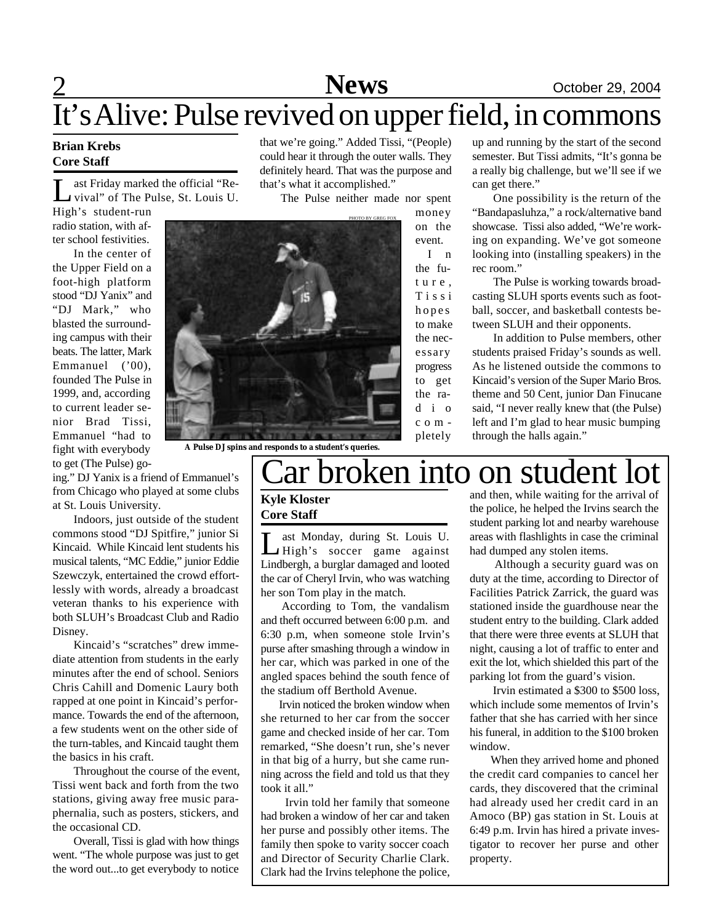# 2 **Sports News** October 29, 2004

# It's Alive: Pulse revived on upper field, in commons

#### **Brian Krebs Core Staff**

 $\prod_{\ldots}$ ast Friday marked the official "Revival" of The Pulse, St. Louis U.

High's student-run radio station, with after school festivities.

In the center of the Upper Field on a foot-high platform stood "DJ Yanix" and "DJ Mark," who blasted the surrounding campus with their beats. The latter, Mark Emmanuel ('00), founded The Pulse in 1999, and, according to current leader senior Brad Tissi, Emmanuel "had to fight with everybody to get (The Pulse) gothat we're going." Added Tissi, "(People) could hear it through the outer walls. They definitely heard. That was the purpose and that's what it accomplished."

The Pulse neither made nor spent



money on the event. I n the fut u r e , T i s s i hopes to make the necessary progress to get

up and running by the start of the second semester. But Tissi admits, "It's gonna be a really big challenge, but we'll see if we can get there."

One possibility is the return of the "Bandapasluhza," a rock/alternative band showcase. Tissi also added, "We're working on expanding. We've got someone looking into (installing speakers) in the rec room."

The Pulse is working towards broadcasting SLUH sports events such as football, soccer, and basketball contests between SLUH and their opponents.

In addition to Pulse members, other students praised Friday's sounds as well. As he listened outside the commons to Kincaid's version of the Super Mario Bros. theme and 50 Cent, junior Dan Finucane said, "I never really knew that (the Pulse) left and I'm glad to hear music bumping through the halls again."

**A Pulse DJ spins and responds to a student's queries.**

# ar broken into on student lot

#### **Kyle Kloster Core Staff**

Let Monday, during St. Louis U.<br>
High's soccer game against<br>
Lindbergh, a burglar damaged and looted ast Monday, during St. Louis U. High's soccer game against the car of Cheryl Irvin, who was watching her son Tom play in the match.

According to Tom, the vandalism and theft occurred between 6:00 p.m. and 6:30 p.m, when someone stole Irvin's purse after smashing through a window in her car, which was parked in one of the angled spaces behind the south fence of the stadium off Berthold Avenue.

 Irvin noticed the broken window when she returned to her car from the soccer game and checked inside of her car. Tom remarked, "She doesn't run, she's never in that big of a hurry, but she came running across the field and told us that they took it all."

 Irvin told her family that someone had broken a window of her car and taken her purse and possibly other items. The family then spoke to varity soccer coach and Director of Security Charlie Clark. Clark had the Irvins telephone the police, and then, while waiting for the arrival of the police, he helped the Irvins search the student parking lot and nearby warehouse areas with flashlights in case the criminal had dumped any stolen items.

 Although a security guard was on duty at the time, according to Director of Facilities Patrick Zarrick, the guard was stationed inside the guardhouse near the student entry to the building. Clark added that there were three events at SLUH that night, causing a lot of traffic to enter and exit the lot, which shielded this part of the parking lot from the guard's vision.

 Irvin estimated a \$300 to \$500 loss, which include some mementos of Irvin's father that she has carried with her since his funeral, in addition to the \$100 broken window.

When they arrived home and phoned the credit card companies to cancel her cards, they discovered that the criminal had already used her credit card in an Amoco (BP) gas station in St. Louis at 6:49 p.m. Irvin has hired a private investigator to recover her purse and other property.

ing." DJ Yanix is a friend of Emmanuel's from Chicago who played at some clubs at St. Louis University.

Indoors, just outside of the student commons stood "DJ Spitfire," junior Si Kincaid. While Kincaid lent students his musical talents, "MC Eddie," junior Eddie Szewczyk, entertained the crowd effortlessly with words, already a broadcast veteran thanks to his experience with both SLUH's Broadcast Club and Radio Disney.

Kincaid's "scratches" drew immediate attention from students in the early minutes after the end of school. Seniors Chris Cahill and Domenic Laury both rapped at one point in Kincaid's performance. Towards the end of the afternoon, a few students went on the other side of the turn-tables, and Kincaid taught them the basics in his craft.

Throughout the course of the event, Tissi went back and forth from the two stations, giving away free music paraphernalia, such as posters, stickers, and the occasional CD.

Overall, Tissi is glad with how things went. "The whole purpose was just to get the word out...to get everybody to notice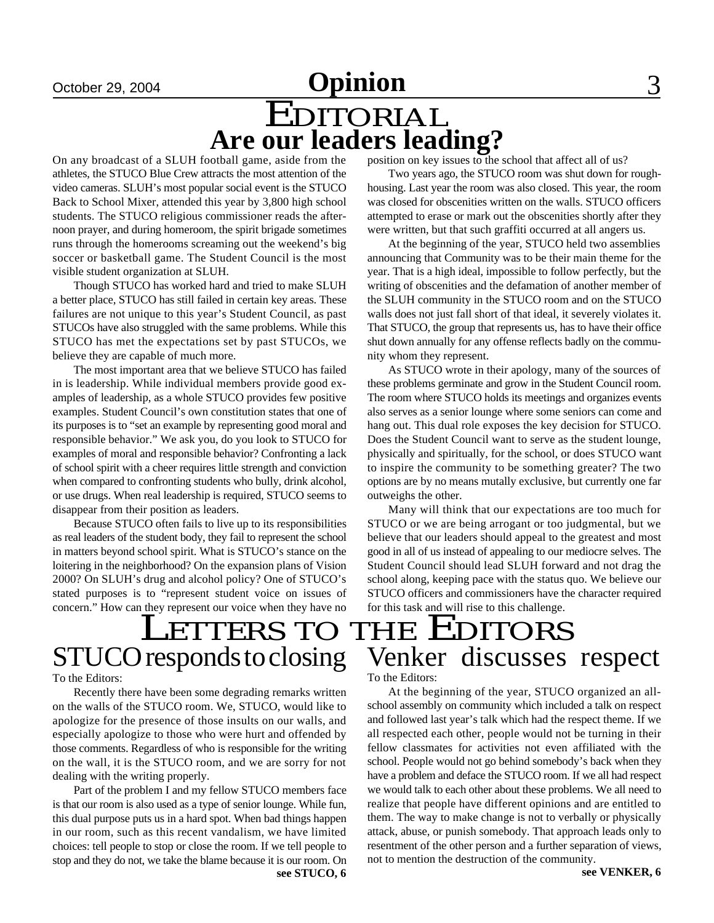# October 29, 2004 **Opinion** 3

# EDITORIAL **Are our leaders leading?**

On any broadcast of a SLUH football game, aside from the athletes, the STUCO Blue Crew attracts the most attention of the video cameras. SLUH's most popular social event is the STUCO Back to School Mixer, attended this year by 3,800 high school students. The STUCO religious commissioner reads the afternoon prayer, and during homeroom, the spirit brigade sometimes runs through the homerooms screaming out the weekend's big soccer or basketball game. The Student Council is the most visible student organization at SLUH.

Though STUCO has worked hard and tried to make SLUH a better place, STUCO has still failed in certain key areas. These failures are not unique to this year's Student Council, as past STUCOs have also struggled with the same problems. While this STUCO has met the expectations set by past STUCOs, we believe they are capable of much more.

The most important area that we believe STUCO has failed in is leadership. While individual members provide good examples of leadership, as a whole STUCO provides few positive examples. Student Council's own constitution states that one of its purposes is to "set an example by representing good moral and responsible behavior." We ask you, do you look to STUCO for examples of moral and responsible behavior? Confronting a lack of school spirit with a cheer requires little strength and conviction when compared to confronting students who bully, drink alcohol, or use drugs. When real leadership is required, STUCO seems to disappear from their position as leaders.

Because STUCO often fails to live up to its responsibilities as real leaders of the student body, they fail to represent the school in matters beyond school spirit. What is STUCO's stance on the loitering in the neighborhood? On the expansion plans of Vision 2000? On SLUH's drug and alcohol policy? One of STUCO's stated purposes is to "represent student voice on issues of concern." How can they represent our voice when they have no position on key issues to the school that affect all of us?

Two years ago, the STUCO room was shut down for roughhousing. Last year the room was also closed. This year, the room was closed for obscenities written on the walls. STUCO officers attempted to erase or mark out the obscenities shortly after they were written, but that such graffiti occurred at all angers us.

At the beginning of the year, STUCO held two assemblies announcing that Community was to be their main theme for the year. That is a high ideal, impossible to follow perfectly, but the writing of obscenities and the defamation of another member of the SLUH community in the STUCO room and on the STUCO walls does not just fall short of that ideal, it severely violates it. That STUCO, the group that represents us, has to have their office shut down annually for any offense reflects badly on the community whom they represent.

As STUCO wrote in their apology, many of the sources of these problems germinate and grow in the Student Council room. The room where STUCO holds its meetings and organizes events also serves as a senior lounge where some seniors can come and hang out. This dual role exposes the key decision for STUCO. Does the Student Council want to serve as the student lounge, physically and spiritually, for the school, or does STUCO want to inspire the community to be something greater? The two options are by no means mutally exclusive, but currently one far outweighs the other.

Many will think that our expectations are too much for STUCO or we are being arrogant or too judgmental, but we believe that our leaders should appeal to the greatest and most good in all of us instead of appealing to our mediocre selves. The Student Council should lead SLUH forward and not drag the school along, keeping pace with the status quo. We believe our STUCO officers and commissioners have the character required for this task and will rise to this challenge.

# **LETTERS TO THE EDITORS**<br>STUCOresponds to closing Venker discusses Venker discusses respect

To the Editors:

Recently there have been some degrading remarks written on the walls of the STUCO room. We, STUCO, would like to apologize for the presence of those insults on our walls, and especially apologize to those who were hurt and offended by those comments. Regardless of who is responsible for the writing on the wall, it is the STUCO room, and we are sorry for not dealing with the writing properly.

Part of the problem I and my fellow STUCO members face is that our room is also used as a type of senior lounge. While fun, this dual purpose puts us in a hard spot. When bad things happen in our room, such as this recent vandalism, we have limited choices: tell people to stop or close the room. If we tell people to stop and they do not, we take the blame because it is our room. On To the Editors:

At the beginning of the year, STUCO organized an allschool assembly on community which included a talk on respect and followed last year's talk which had the respect theme. If we all respected each other, people would not be turning in their fellow classmates for activities not even affiliated with the school. People would not go behind somebody's back when they have a problem and deface the STUCO room. If we all had respect we would talk to each other about these problems. We all need to realize that people have different opinions and are entitled to them. The way to make change is not to verbally or physically attack, abuse, or punish somebody. That approach leads only to resentment of the other person and a further separation of views, not to mention the destruction of the community.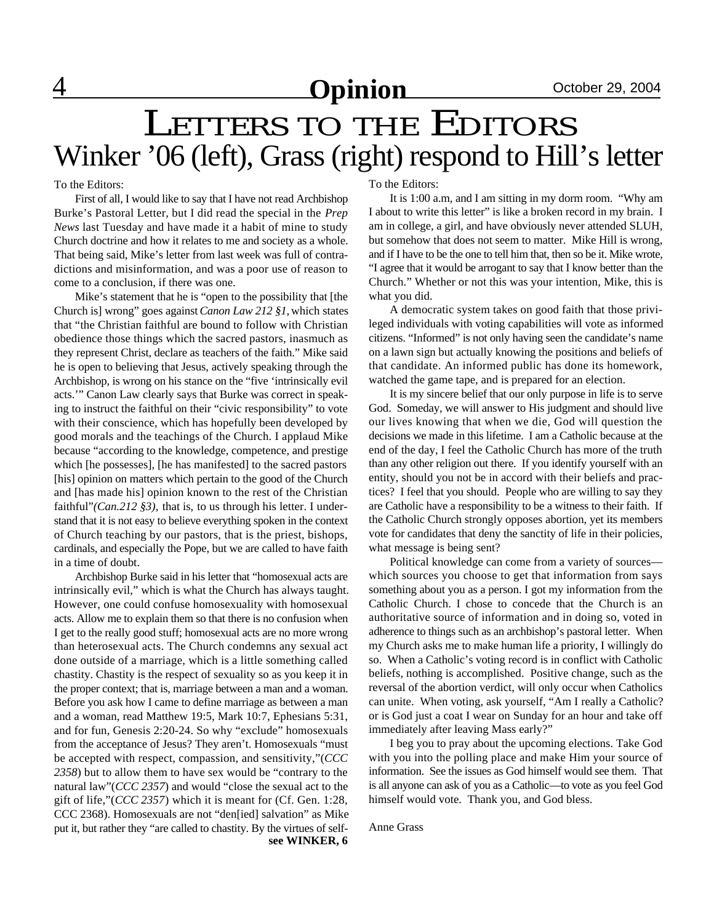## $\textbf{Opinion}$  October 29, 2004

# LETTERS TO THE EDITORS Winker '06 (left), Grass (right) respond to Hill's letter

To the Editors:

First of all, I would like to say that I have not read Archbishop Burke's Pastoral Letter, but I did read the special in the *Prep News* last Tuesday and have made it a habit of mine to study Church doctrine and how it relates to me and society as a whole. That being said, Mike's letter from last week was full of contradictions and misinformation, and was a poor use of reason to come to a conclusion, if there was one.

Mike's statement that he is "open to the possibility that [the Church is] wrong" goes against *Canon Law 212 §1,* which states that "the Christian faithful are bound to follow with Christian obedience those things which the sacred pastors, inasmuch as they represent Christ, declare as teachers of the faith." Mike said he is open to believing that Jesus, actively speaking through the Archbishop, is wrong on his stance on the "five 'intrinsically evil acts.'" Canon Law clearly says that Burke was correct in speaking to instruct the faithful on their "civic responsibility" to vote with their conscience, which has hopefully been developed by good morals and the teachings of the Church. I applaud Mike because "according to the knowledge, competence, and prestige which [he possesses], [he has manifested] to the sacred pastors [his] opinion on matters which pertain to the good of the Church and [has made his] opinion known to the rest of the Christian faithful"*(Can.212 §3),* that is, to us through his letter. I understand that it is not easy to believe everything spoken in the context of Church teaching by our pastors, that is the priest, bishops, cardinals, and especially the Pope, but we are called to have faith in a time of doubt.

Archbishop Burke said in his letter that "homosexual acts are intrinsically evil," which is what the Church has always taught. However, one could confuse homosexuality with homosexual acts. Allow me to explain them so that there is no confusion when I get to the really good stuff; homosexual acts are no more wrong than heterosexual acts. The Church condemns any sexual act done outside of a marriage, which is a little something called chastity. Chastity is the respect of sexuality so as you keep it in the proper context; that is, marriage between a man and a woman. Before you ask how I came to define marriage as between a man and a woman, read Matthew 19:5, Mark 10:7, Ephesians 5:31, and for fun, Genesis 2:20-24. So why "exclude" homosexuals from the acceptance of Jesus? They aren't. Homosexuals "must be accepted with respect, compassion, and sensitivity,"(*CCC 2358*) but to allow them to have sex would be "contrary to the natural law"(*CCC 2357*) and would "close the sexual act to the gift of life,"(*CCC 2357*) which it is meant for (Cf. Gen. 1:28, CCC 2368). Homosexuals are not "den[ied] salvation" as Mike put it, but rather they "are called to chastity. By the virtues of self**see WINKER, 6** To the Editors:

It is 1:00 a.m, and I am sitting in my dorm room. "Why am I about to write this letter" is like a broken record in my brain. I am in college, a girl, and have obviously never attended SLUH, but somehow that does not seem to matter. Mike Hill is wrong, and if I have to be the one to tell him that, then so be it. Mike wrote, "I agree that it would be arrogant to say that I know better than the Church." Whether or not this was your intention, Mike, this is what you did.

A democratic system takes on good faith that those privileged individuals with voting capabilities will vote as informed citizens. "Informed" is not only having seen the candidate's name on a lawn sign but actually knowing the positions and beliefs of that candidate. An informed public has done its homework, watched the game tape, and is prepared for an election.

It is my sincere belief that our only purpose in life is to serve God. Someday, we will answer to His judgment and should live our lives knowing that when we die, God will question the decisions we made in this lifetime. I am a Catholic because at the end of the day, I feel the Catholic Church has more of the truth than any other religion out there. If you identify yourself with an entity, should you not be in accord with their beliefs and practices? I feel that you should. People who are willing to say they are Catholic have a responsibility to be a witness to their faith. If the Catholic Church strongly opposes abortion, yet its members vote for candidates that deny the sanctity of life in their policies, what message is being sent?

Political knowledge can come from a variety of sources which sources you choose to get that information from says something about you as a person. I got my information from the Catholic Church. I chose to concede that the Church is an authoritative source of information and in doing so, voted in adherence to things such as an archbishop's pastoral letter. When my Church asks me to make human life a priority, I willingly do so. When a Catholic's voting record is in conflict with Catholic beliefs, nothing is accomplished. Positive change, such as the reversal of the abortion verdict, will only occur when Catholics can unite. When voting, ask yourself, "Am I really a Catholic? or is God just a coat I wear on Sunday for an hour and take off immediately after leaving Mass early?"

I beg you to pray about the upcoming elections. Take God with you into the polling place and make Him your source of information. See the issues as God himself would see them. That is all anyone can ask of you as a Catholic—to vote as you feel God himself would vote. Thank you, and God bless.

Anne Grass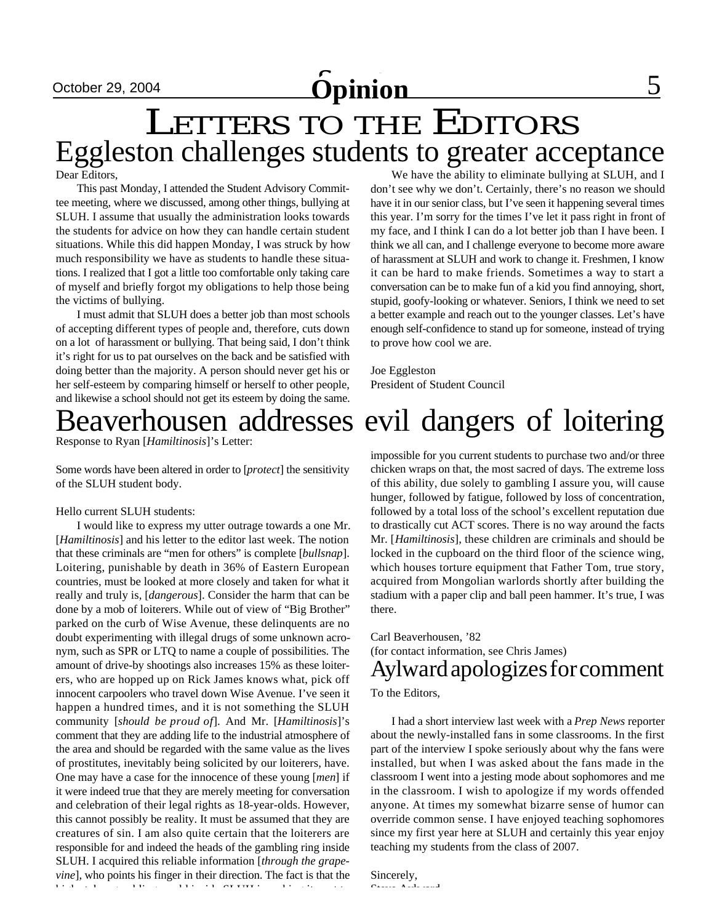# **October 29, 2004 Opinion** 5

# Eggleston challenges students to greater acceptance LETTERS TO THE EDITORS

Dear Editors,

This past Monday, I attended the Student Advisory Committee meeting, where we discussed, among other things, bullying at SLUH. I assume that usually the administration looks towards the students for advice on how they can handle certain student situations. While this did happen Monday, I was struck by how much responsibility we have as students to handle these situations. I realized that I got a little too comfortable only taking care of myself and briefly forgot my obligations to help those being the victims of bullying.

I must admit that SLUH does a better job than most schools of accepting different types of people and, therefore, cuts down on a lot of harassment or bullying. That being said, I don't think it's right for us to pat ourselves on the back and be satisfied with doing better than the majority. A person should never get his or her self-esteem by comparing himself or herself to other people, and likewise a school should not get its esteem by doing the same.

Response to Ryan [*Hamiltinosis*]'s Letter:

Some words have been altered in order to [*protect*] the sensitivity of the SLUH student body.

#### Hello current SLUH students:

I would like to express my utter outrage towards a one Mr. [*Hamiltinosis*] and his letter to the editor last week. The notion that these criminals are "men for others" is complete [*bullsnap*]. Loitering, punishable by death in 36% of Eastern European countries, must be looked at more closely and taken for what it really and truly is, [*dangerous*]. Consider the harm that can be done by a mob of loiterers. While out of view of "Big Brother" parked on the curb of Wise Avenue, these delinquents are no doubt experimenting with illegal drugs of some unknown acronym, such as SPR or LTQ to name a couple of possibilities. The amount of drive-by shootings also increases 15% as these loiterers, who are hopped up on Rick James knows what, pick off innocent carpoolers who travel down Wise Avenue. I've seen it happen a hundred times, and it is not something the SLUH community [*should be proud of*]. And Mr. [*Hamiltinosis*]'s comment that they are adding life to the industrial atmosphere of the area and should be regarded with the same value as the lives of prostitutes, inevitably being solicited by our loiterers, have. One may have a case for the innocence of these young [*men*] if it were indeed true that they are merely meeting for conversation and celebration of their legal rights as 18-year-olds. However, this cannot possibly be reality. It must be assumed that they are creatures of sin. I am also quite certain that the loiterers are responsible for and indeed the heads of the gambling ring inside SLUH. I acquired this reliable information [*through the grapevine*], who points his finger in their direction. The fact is that the high stakes gambling world inside SLUH is making it next to

We have the ability to eliminate bullying at SLUH, and I don't see why we don't. Certainly, there's no reason we should have it in our senior class, but I've seen it happening several times this year. I'm sorry for the times I've let it pass right in front of my face, and I think I can do a lot better job than I have been. I think we all can, and I challenge everyone to become more aware of harassment at SLUH and work to change it. Freshmen, I know it can be hard to make friends. Sometimes a way to start a conversation can be to make fun of a kid you find annoying, short, stupid, goofy-looking or whatever. Seniors, I think we need to set a better example and reach out to the younger classes. Let's have enough self-confidence to stand up for someone, instead of trying to prove how cool we are.

Joe Eggleston President of Student Council

# Beaverhousen addresses evil dangers of loitering

impossible for you current students to purchase two and/or three chicken wraps on that, the most sacred of days. The extreme loss of this ability, due solely to gambling I assure you, will cause hunger, followed by fatigue, followed by loss of concentration, followed by a total loss of the school's excellent reputation due to drastically cut ACT scores. There is no way around the facts Mr. [*Hamiltinosis*], these children are criminals and should be locked in the cupboard on the third floor of the science wing, which houses torture equipment that Father Tom, true story, acquired from Mongolian warlords shortly after building the stadium with a paper clip and ball peen hammer. It's true, I was there.

#### Aylward apologizes for comment Carl Beaverhousen, '82 (for contact information, see Chris James)

#### To the Editors,

I had a short interview last week with a *Prep News* reporter about the newly-installed fans in some classrooms. In the first part of the interview I spoke seriously about why the fans were installed, but when I was asked about the fans made in the classroom I went into a jesting mode about sophomores and me in the classroom. I wish to apologize if my words offended anyone. At times my somewhat bizarre sense of humor can override common sense. I have enjoyed teaching sophomores since my first year here at SLUH and certainly this year enjoy teaching my students from the class of 2007.

Sincerely,  $\mathcal{S}_\text{S}$  Ayl $\mathcal{S}_\text{S}$  Aylor  $\mathcal{S}_\text{S}$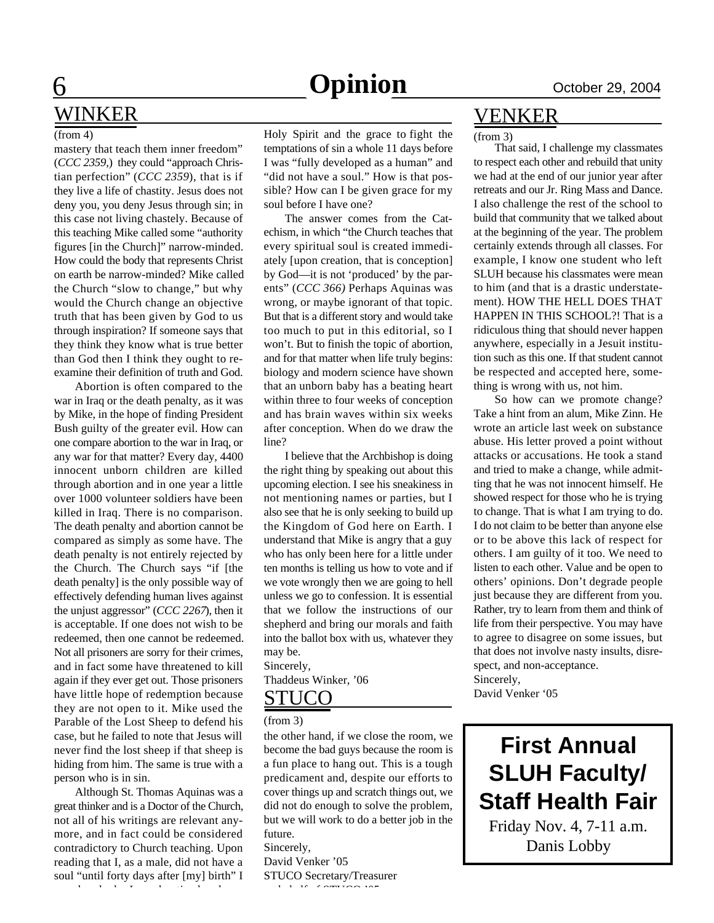## **6 Opinion** October 29, 2004

# WINKER

#### (from 4)

mastery that teach them inner freedom" (*CCC 2359,*) they could "approach Christian perfection" (*CCC 2359*), that is if they live a life of chastity. Jesus does not deny you, you deny Jesus through sin; in this case not living chastely. Because of this teaching Mike called some "authority figures [in the Church]" narrow-minded. How could the body that represents Christ on earth be narrow-minded? Mike called the Church "slow to change," but why would the Church change an objective truth that has been given by God to us through inspiration? If someone says that they think they know what is true better than God then I think they ought to reexamine their definition of truth and God.

Abortion is often compared to the war in Iraq or the death penalty, as it was by Mike, in the hope of finding President Bush guilty of the greater evil. How can one compare abortion to the war in Iraq, or any war for that matter? Every day, 4400 innocent unborn children are killed through abortion and in one year a little over 1000 volunteer soldiers have been killed in Iraq. There is no comparison. The death penalty and abortion cannot be compared as simply as some have. The death penalty is not entirely rejected by the Church. The Church says "if [the death penalty] is the only possible way of effectively defending human lives against the unjust aggressor" (*CCC 2267*), then it is acceptable. If one does not wish to be redeemed, then one cannot be redeemed. Not all prisoners are sorry for their crimes, and in fact some have threatened to kill again if they ever get out. Those prisoners have little hope of redemption because they are not open to it. Mike used the Parable of the Lost Sheep to defend his case, but he failed to note that Jesus will never find the lost sheep if that sheep is hiding from him. The same is true with a person who is in sin.

Although St. Thomas Aquinas was a great thinker and is a Doctor of the Church, not all of his writings are relevant anymore, and in fact could be considered contradictory to Church teaching. Upon reading that I, as a male, did not have a soul "until forty days after [my] birth" I wondered why I was baptized and, acHoly Spirit and the grace to fight the temptations of sin a whole 11 days before I was "fully developed as a human" and "did not have a soul." How is that possible? How can I be given grace for my soul before I have one?

The answer comes from the Catechism, in which "the Church teaches that every spiritual soul is created immediately [upon creation, that is conception] by God—it is not 'produced' by the parents" (*CCC 366)* Perhaps Aquinas was wrong, or maybe ignorant of that topic. But that is a different story and would take too much to put in this editorial, so I won't. But to finish the topic of abortion, and for that matter when life truly begins: biology and modern science have shown that an unborn baby has a beating heart within three to four weeks of conception and has brain waves within six weeks after conception. When do we draw the line?

I believe that the Archbishop is doing the right thing by speaking out about this upcoming election. I see his sneakiness in not mentioning names or parties, but I also see that he is only seeking to build up the Kingdom of God here on Earth. I understand that Mike is angry that a guy who has only been here for a little under ten months is telling us how to vote and if we vote wrongly then we are going to hell unless we go to confession. It is essential that we follow the instructions of our shepherd and bring our morals and faith into the ballot box with us, whatever they may be.

Sincerely, Thaddeus Winker, '06

#### STUCO

#### (from 3)

the other hand, if we close the room, we become the bad guys because the room is a fun place to hang out. This is a tough predicament and, despite our efforts to cover things up and scratch things out, we did not do enough to solve the problem, but we will work to do a better job in the future. Sincerely,

David Venker '05 STUCO Secretary/Treasurer  $\cdots$   $\cdots$   $\cdots$ 

#### VENKER

#### (from 3)

That said, I challenge my classmates to respect each other and rebuild that unity we had at the end of our junior year after retreats and our Jr. Ring Mass and Dance. I also challenge the rest of the school to build that community that we talked about at the beginning of the year. The problem certainly extends through all classes. For example, I know one student who left SLUH because his classmates were mean to him (and that is a drastic understatement). HOW THE HELL DOES THAT HAPPEN IN THIS SCHOOL?! That is a ridiculous thing that should never happen anywhere, especially in a Jesuit institution such as this one. If that student cannot be respected and accepted here, something is wrong with us, not him.

So how can we promote change? Take a hint from an alum, Mike Zinn. He wrote an article last week on substance abuse. His letter proved a point without attacks or accusations. He took a stand and tried to make a change, while admitting that he was not innocent himself. He showed respect for those who he is trying to change. That is what I am trying to do. I do not claim to be better than anyone else or to be above this lack of respect for others. I am guilty of it too. We need to listen to each other. Value and be open to others' opinions. Don't degrade people just because they are different from you. Rather, try to learn from them and think of life from their perspective. You may have to agree to disagree on some issues, but that does not involve nasty insults, disrespect, and non-acceptance. Sincerely,

David Venker '05

**First Annual SLUH Faculty/ Staff Health Fair**

Friday Nov. 4, 7-11 a.m. Danis Lobby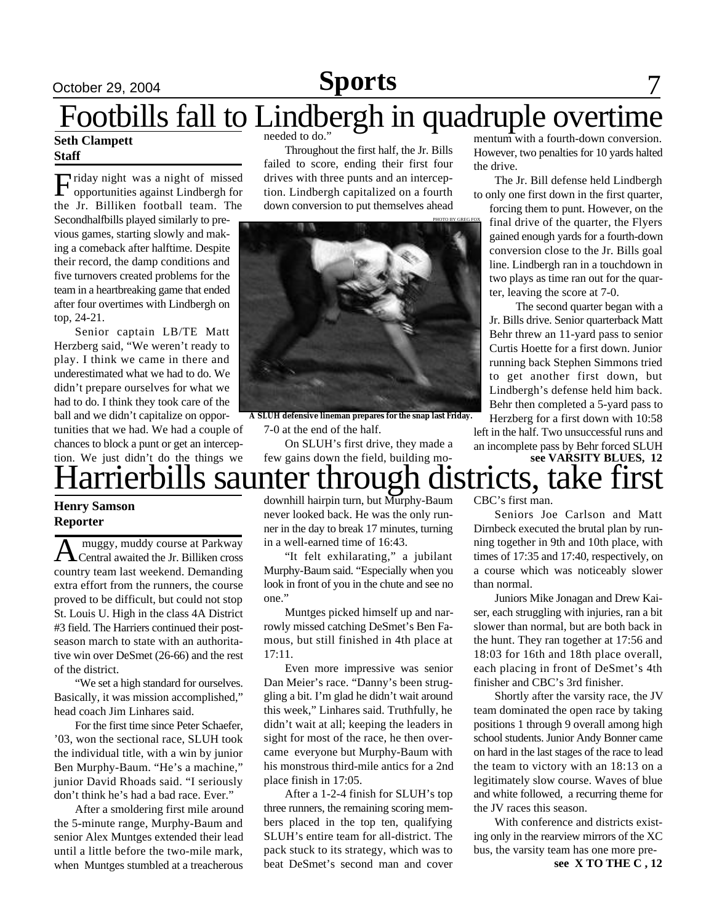#### October 29, 2004 **Sports** 7 **Sports**

# Footbills fall to Lindbergh in quadruple overtime

#### **Seth Clampett Staff**

Friday night was a night of missed<br>opportunities against Lindbergh for opportunities against Lindbergh for the Jr. Billiken football team. The Secondhalfbills played similarly to previous games, starting slowly and making a comeback after halftime. Despite their record, the damp conditions and

five turnovers created problems for the team in a heartbreaking game that ended after four overtimes with Lindbergh on top, 24-21.

Senior captain LB/TE Matt Herzberg said, "We weren't ready to play. I think we came in there and underestimated what we had to do. We didn't prepare ourselves for what we had to do. I think they took care of the ball and we didn't capitalize on opportunities that we had. We had a couple of chances to block a punt or get an intercep-

Throughout the first half, the Jr. Bills failed to score, ending their first four drives with three punts and an interception. Lindbergh capitalized on a fourth down conversion to put themselves ahead



**A SLUH defensive lineman prepares for the snap last Friday.** 7-0 at the end of the half.

On SLUH's first drive, they made a few gains down the field, building momentum with a fourth-down conversion. However, two penalties for 10 yards halted the drive.

The Jr. Bill defense held Lindbergh to only one first down in the first quarter,

forcing them to punt. However, on the final drive of the quarter, the Flyers gained enough yards for a fourth-down conversion close to the Jr. Bills goal line. Lindbergh ran in a touchdown in two plays as time ran out for the quarter, leaving the score at 7-0.

The second quarter began with a Jr. Bills drive. Senior quarterback Matt Behr threw an 11-yard pass to senior Curtis Hoette for a first down. Junior running back Stephen Simmons tried to get another first down, but Lindbergh's defense held him back. Behr then completed a 5-yard pass to Herzberg for a first down with 10:58

left in the half. Two unsuccessful runs and an incomplete pass by Behr forced SLUH

#### Harrierbills saunter through districts, take first **see VARSITY BLUES, 12** tion. We just didn't do the things we

#### **Henry Samson Reporter**

A muggy, muddy course at Parkway<br>Central awaited the Jr. Billiken cross muggy, muddy course at Parkway country team last weekend. Demanding extra effort from the runners, the course proved to be difficult, but could not stop St. Louis U. High in the class 4A District #3 field. The Harriers continued their postseason march to state with an authoritative win over DeSmet (26-66) and the rest of the district.

"We set a high standard for ourselves. Basically, it was mission accomplished," head coach Jim Linhares said.

For the first time since Peter Schaefer, '03, won the sectional race, SLUH took the individual title, with a win by junior Ben Murphy-Baum. "He's a machine," junior David Rhoads said. "I seriously don't think he's had a bad race. Ever."

After a smoldering first mile around the 5-minute range, Murphy-Baum and senior Alex Muntges extended their lead until a little before the two-mile mark, when Muntges stumbled at a treacherous  $\begin{array}{c}\n\hline\n\end{array}$  downhill hairpin turn, but Murphy-Baum never looked back. He was the only runner in the day to break 17 minutes, turning in a well-earned time of 16:43.

"It felt exhilarating," a jubilant Murphy-Baum said. "Especially when you look in front of you in the chute and see no one."

Muntges picked himself up and narrowly missed catching DeSmet's Ben Famous, but still finished in 4th place at 17:11.

Even more impressive was senior Dan Meier's race. "Danny's been struggling a bit. I'm glad he didn't wait around this week," Linhares said. Truthfully, he didn't wait at all; keeping the leaders in sight for most of the race, he then overcame everyone but Murphy-Baum with his monstrous third-mile antics for a 2nd place finish in 17:05.

After a 1-2-4 finish for SLUH's top three runners, the remaining scoring members placed in the top ten, qualifying SLUH's entire team for all-district. The pack stuck to its strategy, which was to beat DeSmet's second man and cover

CBC's first man.

Seniors Joe Carlson and Matt Dirnbeck executed the brutal plan by running together in 9th and 10th place, with times of 17:35 and 17:40, respectively, on a course which was noticeably slower than normal.

Juniors Mike Jonagan and Drew Kaiser, each struggling with injuries, ran a bit slower than normal, but are both back in the hunt. They ran together at 17:56 and 18:03 for 16th and 18th place overall, each placing in front of DeSmet's 4th finisher and CBC's 3rd finisher.

Shortly after the varsity race, the JV team dominated the open race by taking positions 1 through 9 overall among high school students. Junior Andy Bonner came on hard in the last stages of the race to lead the team to victory with an 18:13 on a legitimately slow course. Waves of blue and white followed, a recurring theme for the JV races this season.

With conference and districts existing only in the rearview mirrors of the XC bus, the varsity team has one more pre-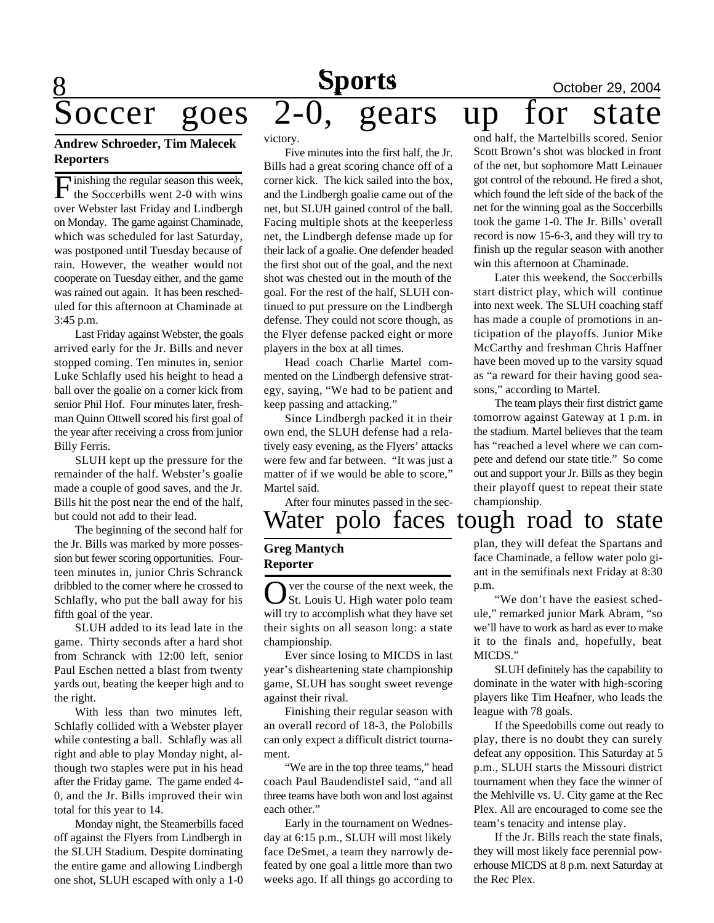# **Sports October 29, 2004**<br>2-0. gears up for state

# 8 Soccer goes 2-0, gears up

#### **Andrew Schroeder, Tim Malecek Reporters**

**F** inishing the regular season this week, the Soccerbills went 2-0 with wins Inishing the regular season this week, over Webster last Friday and Lindbergh on Monday. The game against Chaminade, which was scheduled for last Saturday, was postponed until Tuesday because of rain. However, the weather would not cooperate on Tuesday either, and the game was rained out again. It has been rescheduled for this afternoon at Chaminade at 3:45 p.m.

Last Friday against Webster, the goals arrived early for the Jr. Bills and never stopped coming. Ten minutes in, senior Luke Schlafly used his height to head a ball over the goalie on a corner kick from senior Phil Hof. Four minutes later, freshman Quinn Ottwell scored his first goal of the year after receiving a cross from junior Billy Ferris.

SLUH kept up the pressure for the remainder of the half. Webster's goalie made a couple of good saves, and the Jr. Bills hit the post near the end of the half, but could not add to their lead.

The beginning of the second half for the Jr. Bills was marked by more possession but fewer scoring opportunities. Fourteen minutes in, junior Chris Schranck dribbled to the corner where he crossed to Schlafly, who put the ball away for his fifth goal of the year.

SLUH added to its lead late in the game. Thirty seconds after a hard shot from Schranck with 12:00 left, senior Paul Eschen netted a blast from twenty yards out, beating the keeper high and to the right.

With less than two minutes left, Schlafly collided with a Webster player while contesting a ball. Schlafly was all right and able to play Monday night, although two staples were put in his head after the Friday game. The game ended 4- 0, and the Jr. Bills improved their win total for this year to 14.

Monday night, the Steamerbills faced off against the Flyers from Lindbergh in the SLUH Stadium. Despite dominating the entire game and allowing Lindbergh one shot, SLUH escaped with only a 1-0

victory.

Five minutes into the first half, the Jr. Bills had a great scoring chance off of a corner kick. The kick sailed into the box, and the Lindbergh goalie came out of the net, but SLUH gained control of the ball. Facing multiple shots at the keeperless net, the Lindbergh defense made up for their lack of a goalie. One defender headed the first shot out of the goal, and the next shot was chested out in the mouth of the goal. For the rest of the half, SLUH continued to put pressure on the Lindbergh defense. They could not score though, as the Flyer defense packed eight or more players in the box at all times.

Head coach Charlie Martel commented on the Lindbergh defensive strategy, saying, "We had to be patient and keep passing and attacking."

Since Lindbergh packed it in their own end, the SLUH defense had a relatively easy evening, as the Flyers' attacks were few and far between. "It was just a matter of if we would be able to score," Martel said.

After four minutes passed in the sec-

## Water polo faces tough road to state

#### **Greg Mantych Reporter**

O ver the course of the next week, the<br>
St. Louis U. High water polo team St. Louis U. High water polo team will try to accomplish what they have set their sights on all season long: a state championship.

Ever since losing to MICDS in last year's disheartening state championship game, SLUH has sought sweet revenge against their rival.

Finishing their regular season with an overall record of 18-3, the Polobills can only expect a difficult district tournament.

"We are in the top three teams," head coach Paul Baudendistel said, "and all three teams have both won and lost against each other."

Early in the tournament on Wednesday at 6:15 p.m., SLUH will most likely face DeSmet, a team they narrowly defeated by one goal a little more than two weeks ago. If all things go according to

ond half, the Martelbills scored. Senior Scott Brown's shot was blocked in front of the net, but sophomore Matt Leinauer got control of the rebound. He fired a shot, which found the left side of the back of the net for the winning goal as the Soccerbills took the game 1-0. The Jr. Bills' overall record is now 15-6-3, and they will try to finish up the regular season with another win this afternoon at Chaminade.

Later this weekend, the Soccerbills start district play, which will continue into next week. The SLUH coaching staff has made a couple of promotions in anticipation of the playoffs. Junior Mike McCarthy and freshman Chris Haffner have been moved up to the varsity squad as "a reward for their having good seasons," according to Martel.

The team plays their first district game tomorrow against Gateway at 1 p.m. in the stadium. Martel believes that the team has "reached a level where we can compete and defend our state title." So come out and support your Jr. Bills as they begin their playoff quest to repeat their state championship.

plan, they will defeat the Spartans and face Chaminade, a fellow water polo gi-

ant in the semifinals next Friday at 8:30 p.m. "We don't have the easiest sched-

ule," remarked junior Mark Abram, "so we'll have to work as hard as ever to make it to the finals and, hopefully, beat MICDS."

SLUH definitely has the capability to dominate in the water with high-scoring players like Tim Heafner, who leads the league with 78 goals.

If the Speedobills come out ready to play, there is no doubt they can surely defeat any opposition. This Saturday at 5 p.m., SLUH starts the Missouri district tournament when they face the winner of the Mehlville vs. U. City game at the Rec Plex. All are encouraged to come see the team's tenacity and intense play.

If the Jr. Bills reach the state finals, they will most likely face perennial powerhouse MICDS at 8 p.m. next Saturday at the Rec Plex.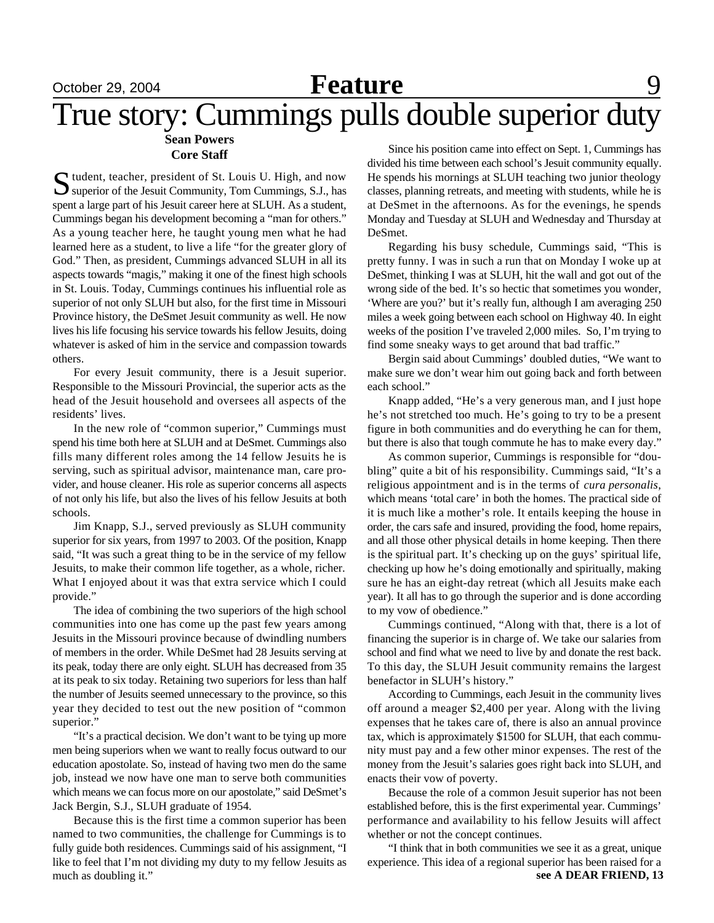## **October 29, 2004 Feature** 9 **Sean Powers** True story: Cummings pulls double superior duty

#### **Core Staff**

Sudent, teacher, president of St. Louis U. High, and now superior of the Jesuit Community, Tom Cummings, S.J., has Superior of the Jesuit Community, Tom Cummings, S.J., has spent a large part of his Jesuit career here at SLUH. As a student, Cummings began his development becoming a "man for others." As a young teacher here, he taught young men what he had learned here as a student, to live a life "for the greater glory of God." Then, as president, Cummings advanced SLUH in all its aspects towards "magis," making it one of the finest high schools in St. Louis. Today, Cummings continues his influential role as superior of not only SLUH but also, for the first time in Missouri Province history, the DeSmet Jesuit community as well. He now lives his life focusing his service towards his fellow Jesuits, doing whatever is asked of him in the service and compassion towards others.

For every Jesuit community, there is a Jesuit superior. Responsible to the Missouri Provincial, the superior acts as the head of the Jesuit household and oversees all aspects of the residents' lives.

In the new role of "common superior," Cummings must spend his time both here at SLUH and at DeSmet. Cummings also fills many different roles among the 14 fellow Jesuits he is serving, such as spiritual advisor, maintenance man, care provider, and house cleaner. His role as superior concerns all aspects of not only his life, but also the lives of his fellow Jesuits at both schools.

Jim Knapp, S.J., served previously as SLUH community superior for six years, from 1997 to 2003. Of the position, Knapp said, "It was such a great thing to be in the service of my fellow Jesuits, to make their common life together, as a whole, richer. What I enjoyed about it was that extra service which I could provide."

The idea of combining the two superiors of the high school communities into one has come up the past few years among Jesuits in the Missouri province because of dwindling numbers of members in the order. While DeSmet had 28 Jesuits serving at its peak, today there are only eight. SLUH has decreased from 35 at its peak to six today. Retaining two superiors for less than half the number of Jesuits seemed unnecessary to the province, so this year they decided to test out the new position of "common superior."

"It's a practical decision. We don't want to be tying up more men being superiors when we want to really focus outward to our education apostolate. So, instead of having two men do the same job, instead we now have one man to serve both communities which means we can focus more on our apostolate," said DeSmet's Jack Bergin, S.J., SLUH graduate of 1954.

Because this is the first time a common superior has been named to two communities, the challenge for Cummings is to fully guide both residences. Cummings said of his assignment, "I like to feel that I'm not dividing my duty to my fellow Jesuits as much as doubling it."

Since his position came into effect on Sept. 1, Cummings has divided his time between each school's Jesuit community equally. He spends his mornings at SLUH teaching two junior theology classes, planning retreats, and meeting with students, while he is at DeSmet in the afternoons. As for the evenings, he spends Monday and Tuesday at SLUH and Wednesday and Thursday at DeSmet.

Regarding his busy schedule, Cummings said, "This is pretty funny. I was in such a run that on Monday I woke up at DeSmet, thinking I was at SLUH, hit the wall and got out of the wrong side of the bed. It's so hectic that sometimes you wonder, 'Where are you?' but it's really fun, although I am averaging 250 miles a week going between each school on Highway 40. In eight weeks of the position I've traveled 2,000 miles. So, I'm trying to find some sneaky ways to get around that bad traffic."

Bergin said about Cummings' doubled duties, "We want to make sure we don't wear him out going back and forth between each school."

Knapp added, "He's a very generous man, and I just hope he's not stretched too much. He's going to try to be a present figure in both communities and do everything he can for them, but there is also that tough commute he has to make every day."

As common superior, Cummings is responsible for "doubling" quite a bit of his responsibility. Cummings said, "It's a religious appointment and is in the terms of *cura personalis*, which means 'total care' in both the homes. The practical side of it is much like a mother's role. It entails keeping the house in order, the cars safe and insured, providing the food, home repairs, and all those other physical details in home keeping. Then there is the spiritual part. It's checking up on the guys' spiritual life, checking up how he's doing emotionally and spiritually, making sure he has an eight-day retreat (which all Jesuits make each year). It all has to go through the superior and is done according to my vow of obedience."

Cummings continued, "Along with that, there is a lot of financing the superior is in charge of. We take our salaries from school and find what we need to live by and donate the rest back. To this day, the SLUH Jesuit community remains the largest benefactor in SLUH's history."

According to Cummings, each Jesuit in the community lives off around a meager \$2,400 per year. Along with the living expenses that he takes care of, there is also an annual province tax, which is approximately \$1500 for SLUH, that each community must pay and a few other minor expenses. The rest of the money from the Jesuit's salaries goes right back into SLUH, and enacts their vow of poverty.

Because the role of a common Jesuit superior has not been established before, this is the first experimental year. Cummings' performance and availability to his fellow Jesuits will affect whether or not the concept continues.

"I think that in both communities we see it as a great, unique experience. This idea of a regional superior has been raised for a **see A DEAR FRIEND, 13**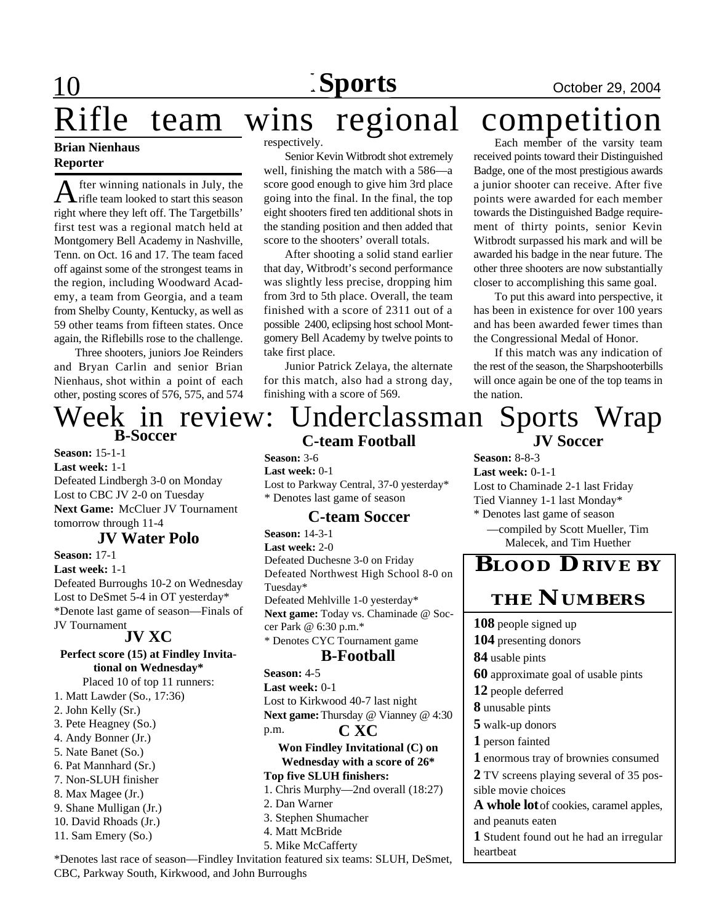### **Brian Nienhaus Reporter**

A fter winning nationals in July, the<br>rifle team looked to start this season fter winning nationals in July, the right where they left off. The Targetbills' first test was a regional match held at Montgomery Bell Academy in Nashville, Tenn. on Oct. 16 and 17. The team faced off against some of the strongest teams in the region, including Woodward Academy, a team from Georgia, and a team from Shelby County, Kentucky, as well as 59 other teams from fifteen states. Once again, the Riflebills rose to the challenge.

Three shooters, juniors Joe Reinders and Bryan Carlin and senior Brian Nienhaus, shot within a point of each other, posting scores of 576, 575, and 574

# **B-Soccer**

**Season:** 15-1-1 **Last week:** 1-1 Defeated Lindbergh 3-0 on Monday Lost to CBC JV 2-0 on Tuesday **Next Game:** McCluer JV Tournament tomorrow through 11-4

#### **JV Water Polo**

**Season:** 17-1 **Last week:** 1-1 Defeated Burroughs 10-2 on Wednesday Lost to DeSmet 5-4 in OT yesterday\* \*Denote last game of season—Finals of JV Tournament

#### **JV XC**

**Perfect score (15) at Findley Invitational on Wednesday\*** Placed 10 of top 11 runners:

- 1. Matt Lawder (So., 17:36)
- 2. John Kelly (Sr.)
- 3. Pete Heagney (So.)
- 4. Andy Bonner (Jr.)
- 5. Nate Banet (So.)
- 6. Pat Mannhard (Sr.)
- 7. Non-SLUH finisher
- 8. Max Magee (Jr.)
- 9. Shane Mulligan (Jr.)
- 10. David Rhoads (Jr.)
- 11. Sam Emery (So.)

#### respectively.

Senior Kevin Witbrodt shot extremely well, finishing the match with a 586—a score good enough to give him 3rd place going into the final. In the final, the top eight shooters fired ten additional shots in the standing position and then added that score to the shooters' overall totals.

After shooting a solid stand earlier that day, Witbrodt's second performance was slightly less precise, dropping him from 3rd to 5th place. Overall, the team finished with a score of 2311 out of a possible 2400, eclipsing host school Montgomery Bell Academy by twelve points to take first place.

Junior Patrick Zelaya, the alternate for this match, also had a strong day, finishing with a score of 569.

# Rifle team wins regional competition

Each member of the varsity team received points toward their Distinguished Badge, one of the most prestigious awards a junior shooter can receive. After five points were awarded for each member towards the Distinguished Badge requirement of thirty points, senior Kevin Witbrodt surpassed his mark and will be awarded his badge in the near future. The other three shooters are now substantially closer to accomplishing this same goal.

To put this award into perspective, it has been in existence for over 100 years and has been awarded fewer times than the Congressional Medal of Honor.

If this match was any indication of the rest of the season, the Sharpshooterbills will once again be one of the top teams in the nation.

#### **C-team Football JV Soccer** Week in review: Underclassman Sports Wrap

**Season:** 3-6 **Last week:** 0-1 Lost to Parkway Central, 37-0 yesterday\* \* Denotes last game of season

#### **C-team Soccer**

**Season:** 14-3-1 **Last week:** 2-0 Defeated Duchesne 3-0 on Friday Defeated Northwest High School 8-0 on Tuesday\* Defeated Mehlville 1-0 yesterday\* **Next game:** Today vs. Chaminade @ Soccer Park @ 6:30 p.m.\* \* Denotes CYC Tournament game

#### **B-Football**

**Season:** 4-5 **Last week:** 0-1 Lost to Kirkwood 40-7 last night **Next game:** Thursday @ Vianney @ 4:30 p.m. **C XC**

**Won Findley Invitational (C) on Wednesday with a score of 26\* Top five SLUH finishers:**

- 1. Chris Murphy—2nd overall (18:27)
- 2. Dan Warner
- 3. Stephen Shumacher
- 4. Matt McBride
- 5. Mike McCafferty

\*Denotes last race of season—Findley Invitation featured six teams: SLUH, DeSmet, CBC, Parkway South, Kirkwood, and John Burroughs

**Season:** 8-8-3 **Last week:** 0-1-1 Lost to Chaminade 2-1 last Friday Tied Vianney 1-1 last Monday\* \* Denotes last game of season —compiled by Scott Mueller, Tim

Malecek, and Tim Huether

## **BLOOD DRIVE BY**

### **THE NUMBERS**

 people signed up presenting donors usable pints approximate goal of usable pints people deferred unusable pints walk-up donors person fainted enormous tray of brownies consumed TV screens playing several of 35 possible movie choices A whole lot of cookies, caramel apples, and peanuts eaten Student found out he had an irregular heartbeat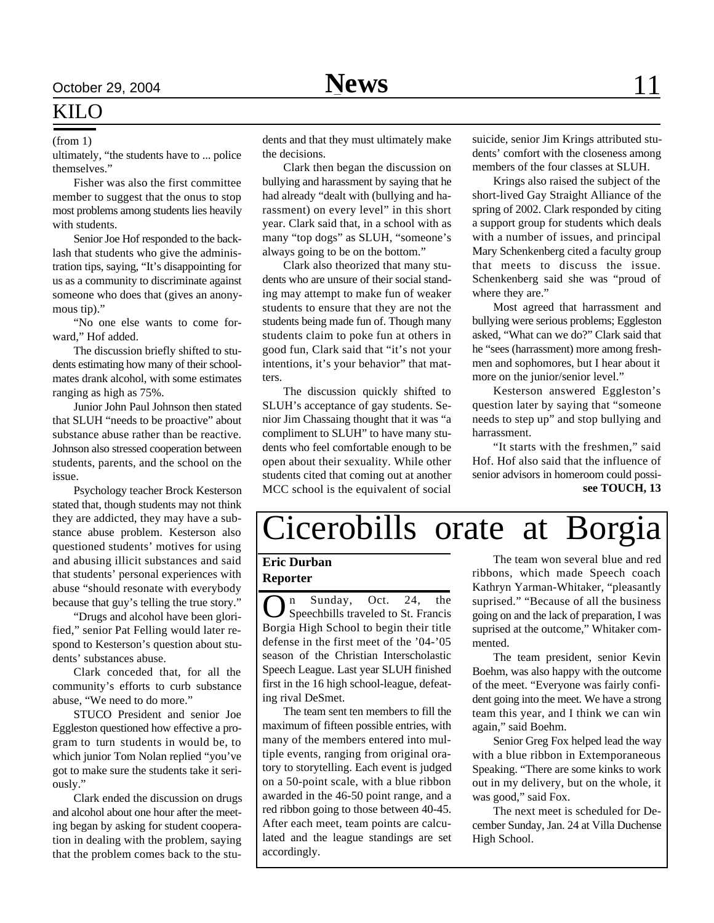### KILO

ultimately, "the students have to ... police themselves."

Fisher was also the first committee member to suggest that the onus to stop most problems among students lies heavily with students.

Senior Joe Hof responded to the backlash that students who give the administration tips, saying, "It's disappointing for us as a community to discriminate against someone who does that (gives an anonymous tip)."

"No one else wants to come forward," Hof added.

The discussion briefly shifted to students estimating how many of their schoolmates drank alcohol, with some estimates ranging as high as 75%.

Junior John Paul Johnson then stated that SLUH "needs to be proactive" about substance abuse rather than be reactive. Johnson also stressed cooperation between students, parents, and the school on the issue.

Psychology teacher Brock Kesterson stated that, though students may not think they are addicted, they may have a substance abuse problem. Kesterson also questioned students' motives for using and abusing illicit substances and said that students' personal experiences with abuse "should resonate with everybody because that guy's telling the true story."

"Drugs and alcohol have been glorified," senior Pat Felling would later respond to Kesterson's question about students' substances abuse.

Clark conceded that, for all the community's efforts to curb substance abuse, "We need to do more."

STUCO President and senior Joe Eggleston questioned how effective a program to turn students in would be, to which junior Tom Nolan replied "you've got to make sure the students take it seriously."

Clark ended the discussion on drugs and alcohol about one hour after the meeting began by asking for student cooperation in dealing with the problem, saying that the problem comes back to the stu-

(from 1) dents and that they must ultimately make the decisions.

> Clark then began the discussion on bullying and harassment by saying that he had already "dealt with (bullying and harassment) on every level" in this short year. Clark said that, in a school with as many "top dogs" as SLUH, "someone's always going to be on the bottom."

> Clark also theorized that many students who are unsure of their social standing may attempt to make fun of weaker students to ensure that they are not the students being made fun of. Though many students claim to poke fun at others in good fun, Clark said that "it's not your intentions, it's your behavior" that matters.

> The discussion quickly shifted to SLUH's acceptance of gay students. Senior Jim Chassaing thought that it was "a compliment to SLUH" to have many students who feel comfortable enough to be open about their sexuality. While other students cited that coming out at another MCC school is the equivalent of social

suicide, senior Jim Krings attributed students' comfort with the closeness among members of the four classes at SLUH.

Krings also raised the subject of the short-lived Gay Straight Alliance of the spring of 2002. Clark responded by citing a support group for students which deals with a number of issues, and principal Mary Schenkenberg cited a faculty group that meets to discuss the issue. Schenkenberg said she was "proud of where they are."

Most agreed that harrassment and bullying were serious problems; Eggleston asked, "What can we do?" Clark said that he "sees (harrassment) more among freshmen and sophomores, but I hear about it more on the junior/senior level."

Kesterson answered Eggleston's question later by saying that "someone needs to step up" and stop bullying and harrassment.

"It starts with the freshmen," said Hof. Hof also said that the influence of senior advisors in homeroom could possi**see TOUCH, 13**

# Cicerobills orate at Borgia

#### **Eric Durban Reporter**

**O** n Sunday, Oct. 24, the<br>Speechbills traveled to St. Francis n Sunday, Oct. 24, the Borgia High School to begin their title defense in the first meet of the '04-'05 season of the Christian Interscholastic Speech League. Last year SLUH finished first in the 16 high school-league, defeating rival DeSmet.

The team sent ten members to fill the maximum of fifteen possible entries, with many of the members entered into multiple events, ranging from original oratory to storytelling. Each event is judged on a 50-point scale, with a blue ribbon awarded in the 46-50 point range, and a red ribbon going to those between 40-45. After each meet, team points are calculated and the league standings are set accordingly.

The team won several blue and red ribbons, which made Speech coach Kathryn Yarman-Whitaker, "pleasantly suprised." "Because of all the business going on and the lack of preparation, I was suprised at the outcome," Whitaker commented.

The team president, senior Kevin Boehm, was also happy with the outcome of the meet. "Everyone was fairly confident going into the meet. We have a strong team this year, and I think we can win again," said Boehm.

Senior Greg Fox helped lead the way with a blue ribbon in Extemporaneous Speaking. "There are some kinks to work out in my delivery, but on the whole, it was good," said Fox.

The next meet is scheduled for December Sunday, Jan. 24 at Villa Duchense High School.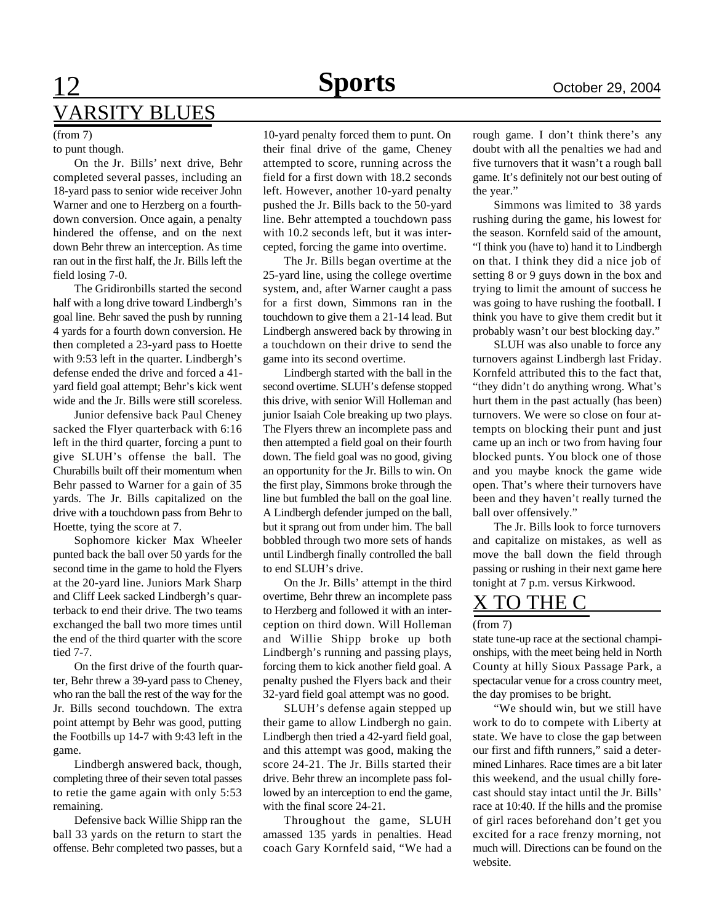# 12 **Sports News** October 29, 2004 VARSITY BLUES

#### (from 7)

#### to punt though.

On the Jr. Bills' next drive, Behr completed several passes, including an 18-yard pass to senior wide receiver John Warner and one to Herzberg on a fourthdown conversion. Once again, a penalty hindered the offense, and on the next down Behr threw an interception. As time ran out in the first half, the Jr. Bills left the field losing 7-0.

The Gridironbills started the second half with a long drive toward Lindbergh's goal line. Behr saved the push by running 4 yards for a fourth down conversion. He then completed a 23-yard pass to Hoette with 9:53 left in the quarter. Lindbergh's defense ended the drive and forced a 41 yard field goal attempt; Behr's kick went wide and the Jr. Bills were still scoreless.

Junior defensive back Paul Cheney sacked the Flyer quarterback with 6:16 left in the third quarter, forcing a punt to give SLUH's offense the ball. The Churabills built off their momentum when Behr passed to Warner for a gain of 35 yards. The Jr. Bills capitalized on the drive with a touchdown pass from Behr to Hoette, tying the score at 7.

Sophomore kicker Max Wheeler punted back the ball over 50 yards for the second time in the game to hold the Flyers at the 20-yard line. Juniors Mark Sharp and Cliff Leek sacked Lindbergh's quarterback to end their drive. The two teams exchanged the ball two more times until the end of the third quarter with the score tied 7-7.

On the first drive of the fourth quarter, Behr threw a 39-yard pass to Cheney, who ran the ball the rest of the way for the Jr. Bills second touchdown. The extra point attempt by Behr was good, putting the Footbills up 14-7 with 9:43 left in the game.

Lindbergh answered back, though, completing three of their seven total passes to retie the game again with only 5:53 remaining.

Defensive back Willie Shipp ran the ball 33 yards on the return to start the offense. Behr completed two passes, but a

10-yard penalty forced them to punt. On their final drive of the game, Cheney attempted to score, running across the field for a first down with 18.2 seconds left. However, another 10-yard penalty pushed the Jr. Bills back to the 50-yard line. Behr attempted a touchdown pass with 10.2 seconds left, but it was intercepted, forcing the game into overtime.

The Jr. Bills began overtime at the 25-yard line, using the college overtime system, and, after Warner caught a pass for a first down, Simmons ran in the touchdown to give them a 21-14 lead. But Lindbergh answered back by throwing in a touchdown on their drive to send the game into its second overtime.

Lindbergh started with the ball in the second overtime. SLUH's defense stopped this drive, with senior Will Holleman and junior Isaiah Cole breaking up two plays. The Flyers threw an incomplete pass and then attempted a field goal on their fourth down. The field goal was no good, giving an opportunity for the Jr. Bills to win. On the first play, Simmons broke through the line but fumbled the ball on the goal line. A Lindbergh defender jumped on the ball, but it sprang out from under him. The ball bobbled through two more sets of hands until Lindbergh finally controlled the ball to end SLUH's drive.

On the Jr. Bills' attempt in the third overtime, Behr threw an incomplete pass to Herzberg and followed it with an interception on third down. Will Holleman and Willie Shipp broke up both Lindbergh's running and passing plays, forcing them to kick another field goal. A penalty pushed the Flyers back and their 32-yard field goal attempt was no good.

SLUH's defense again stepped up their game to allow Lindbergh no gain. Lindbergh then tried a 42-yard field goal, and this attempt was good, making the score 24-21. The Jr. Bills started their drive. Behr threw an incomplete pass followed by an interception to end the game, with the final score 24-21.

Throughout the game, SLUH amassed 135 yards in penalties. Head coach Gary Kornfeld said, "We had a rough game. I don't think there's any doubt with all the penalties we had and five turnovers that it wasn't a rough ball game. It's definitely not our best outing of the year."

Simmons was limited to 38 yards rushing during the game, his lowest for the season. Kornfeld said of the amount, "I think you (have to) hand it to Lindbergh on that. I think they did a nice job of setting 8 or 9 guys down in the box and trying to limit the amount of success he was going to have rushing the football. I think you have to give them credit but it probably wasn't our best blocking day."

SLUH was also unable to force any turnovers against Lindbergh last Friday. Kornfeld attributed this to the fact that, "they didn't do anything wrong. What's hurt them in the past actually (has been) turnovers. We were so close on four attempts on blocking their punt and just came up an inch or two from having four blocked punts. You block one of those and you maybe knock the game wide open. That's where their turnovers have been and they haven't really turned the ball over offensively."

The Jr. Bills look to force turnovers and capitalize on mistakes, as well as move the ball down the field through passing or rushing in their next game here tonight at 7 p.m. versus Kirkwood.

### X TO THE C

#### (from 7)

state tune-up race at the sectional championships, with the meet being held in North County at hilly Sioux Passage Park, a spectacular venue for a cross country meet, the day promises to be bright.

"We should win, but we still have work to do to compete with Liberty at state. We have to close the gap between our first and fifth runners," said a determined Linhares. Race times are a bit later this weekend, and the usual chilly forecast should stay intact until the Jr. Bills' race at 10:40. If the hills and the promise of girl races beforehand don't get you excited for a race frenzy morning, not much will. Directions can be found on the website.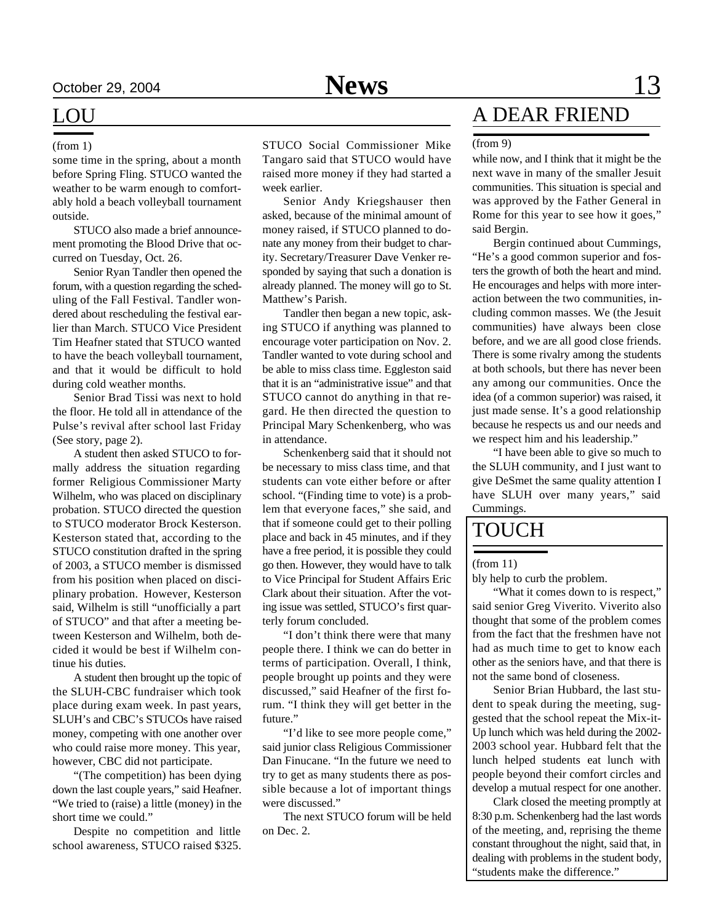#### LOU

some time in the spring, about a month before Spring Fling. STUCO wanted the weather to be warm enough to comfortably hold a beach volleyball tournament outside.

STUCO also made a brief announcement promoting the Blood Drive that occurred on Tuesday, Oct. 26.

Senior Ryan Tandler then opened the forum, with a question regarding the scheduling of the Fall Festival. Tandler wondered about rescheduling the festival earlier than March. STUCO Vice President Tim Heafner stated that STUCO wanted to have the beach volleyball tournament, and that it would be difficult to hold during cold weather months.

Senior Brad Tissi was next to hold the floor. He told all in attendance of the Pulse's revival after school last Friday (See story, page 2).

A student then asked STUCO to formally address the situation regarding former Religious Commissioner Marty Wilhelm, who was placed on disciplinary probation. STUCO directed the question to STUCO moderator Brock Kesterson. Kesterson stated that, according to the STUCO constitution drafted in the spring of 2003, a STUCO member is dismissed from his position when placed on disciplinary probation. However, Kesterson said, Wilhelm is still "unofficially a part of STUCO" and that after a meeting between Kesterson and Wilhelm, both decided it would be best if Wilhelm continue his duties.

A student then brought up the topic of the SLUH-CBC fundraiser which took place during exam week. In past years, SLUH's and CBC's STUCOs have raised money, competing with one another over who could raise more money. This year, however, CBC did not participate.

"(The competition) has been dying down the last couple years," said Heafner. "We tried to (raise) a little (money) in the short time we could."

Despite no competition and little school awareness, STUCO raised \$325.

(from 1) STUCO Social Commissioner Mike Tangaro said that STUCO would have raised more money if they had started a week earlier.

> Senior Andy Kriegshauser then asked, because of the minimal amount of money raised, if STUCO planned to donate any money from their budget to charity. Secretary/Treasurer Dave Venker responded by saying that such a donation is already planned. The money will go to St. Matthew's Parish.

> Tandler then began a new topic, asking STUCO if anything was planned to encourage voter participation on Nov. 2. Tandler wanted to vote during school and be able to miss class time. Eggleston said that it is an "administrative issue" and that STUCO cannot do anything in that regard. He then directed the question to Principal Mary Schenkenberg, who was in attendance.

> Schenkenberg said that it should not be necessary to miss class time, and that students can vote either before or after school. "(Finding time to vote) is a problem that everyone faces," she said, and that if someone could get to their polling place and back in 45 minutes, and if they have a free period, it is possible they could go then. However, they would have to talk to Vice Principal for Student Affairs Eric Clark about their situation. After the voting issue was settled, STUCO's first quarterly forum concluded.

> "I don't think there were that many people there. I think we can do better in terms of participation. Overall, I think, people brought up points and they were discussed," said Heafner of the first forum. "I think they will get better in the future."

> "I'd like to see more people come," said junior class Religious Commissioner Dan Finucane. "In the future we need to try to get as many students there as possible because a lot of important things were discussed."

> The next STUCO forum will be held on Dec. 2.

### A DEAR FRIEND

#### (from 9)

while now, and I think that it might be the next wave in many of the smaller Jesuit communities. This situation is special and was approved by the Father General in Rome for this year to see how it goes," said Bergin.

Bergin continued about Cummings, "He's a good common superior and fosters the growth of both the heart and mind. He encourages and helps with more interaction between the two communities, including common masses. We (the Jesuit communities) have always been close before, and we are all good close friends. There is some rivalry among the students at both schools, but there has never been any among our communities. Once the idea (of a common superior) was raised, it just made sense. It's a good relationship because he respects us and our needs and we respect him and his leadership."

"I have been able to give so much to the SLUH community, and I just want to give DeSmet the same quality attention I have SLUH over many years," said Cummings.

#### TOUCH

#### (from 11)

bly help to curb the problem.

"What it comes down to is respect," said senior Greg Viverito. Viverito also thought that some of the problem comes from the fact that the freshmen have not had as much time to get to know each other as the seniors have, and that there is not the same bond of closeness.

Senior Brian Hubbard, the last student to speak during the meeting, suggested that the school repeat the Mix-it-Up lunch which was held during the 2002- 2003 school year. Hubbard felt that the lunch helped students eat lunch with people beyond their comfort circles and develop a mutual respect for one another.

Clark closed the meeting promptly at 8:30 p.m. Schenkenberg had the last words of the meeting, and, reprising the theme constant throughout the night, said that, in dealing with problems in the student body, "students make the difference."